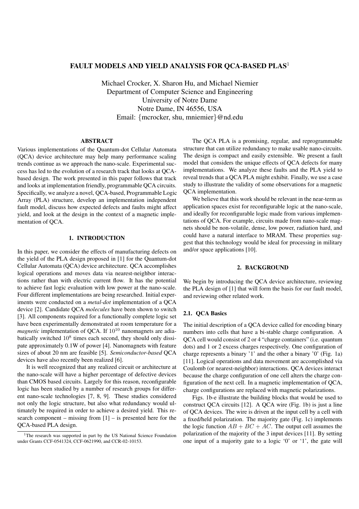# **FAULT MODELS AND YIELD ANALYSIS FOR QCA-BASED PLAS**<sup>1</sup>

Michael Crocker, X. Sharon Hu, and Michael Niemier Department of Computer Science and Engineering University of Notre Dame Notre Dame, IN 46556, USA Email: {mcrocker, shu, mniemier}@nd.edu

### **ABSTRACT**

Various implementations of the Quantum-dot Cellular Automata (QCA) device architecture may help many performance scaling trends continue as we approach the nano-scale. Experimental success has led to the evolution of a research track that looks at QCAbased design. The work presented in this paper follows that track and looks at implementation friendly, programmable QCA circuits. Specifically, we analyze a novel, QCA-based, Programmable Logic Array (PLA) structure, develop an implementation independent fault model, discuss how expected defects and faults might affect yield, and look at the design in the context of a magnetic implementation of QCA.

## **1. INTRODUCTION**

In this paper, we consider the effects of manufacturing defects on the yield of the PLA design proposed in [1] for the Quantum-dot Cellular Automata (QCA) device architecture. QCA accomplishes logical operations and moves data via nearest-neighbor interactions rather than with electric current flow. It has the potential to achieve fast logic evaluation with low power at the nano-scale. Four different implementations are being researched. Initial experiments were conducted on a *metal-dot* implementation of a QCA device [2]. Candidate QCA *molecules* have been shown to switch [3]. All components required for a functionally complete logic set have been experimentally demonstrated at room temperature for a *magnetic* implementation of OCA. If  $10^{10}$  nanomagnets are adiabatically switched 10<sup>8</sup> times each second, they should only dissipate approximately 0.1W of power [4]. Nanomagnets with feature sizes of about 20 nm are feasible [5]. *Semiconductor-based* QCA devices have also recently been realized [6].

It is well recognized that any realized circuit or architecture at the nano-scale will have a higher percentage of defective devices than CMOS based circuits. Largely for this reason, reconfigurable logic has been studied by a number of research groups for different nano-scale technologies [7, 8, 9]. These studies considered not only the logic structure, but also what redundancy would ultimately be required in order to achieve a desired yield. This research component – missing from  $[1]$  – is presented here for the QCA-based PLA design.

The QCA PLA is a promising, regular, and reprogrammable structure that can utilize redundancy to make usable nano-circuits. The design is compact and easily extensible. We present a fault model that considers the unique effects of QCA defects for many implementations. We analyze these faults and the PLA yield to reveal trends that a QCA PLA might exhibit. Finally, we use a case study to illustrate the validity of some observations for a magnetic QCA implementation.

We believe that this work should be relevant in the near-term as application spaces exist for reconfigurable logic at the nano-scale, and ideally for reconfigurable logic made from various implementations of QCA. For example, circuits made from nano-scale magnets should be non-volatile, dense, low power, radiation hard, and could have a natural interface to MRAM. These properties suggest that this technology would be ideal for processing in military and/or space applications [10].

## **2. BACKGROUND**

We begin by introducing the QCA device architecture, reviewing the PLA design of [1] that will form the basis for our fault model, and reviewing other related work.

## **2.1. QCA Basics**

The initial description of a QCA device called for encoding binary numbers into cells that have a bi-stable charge configuration. A QCA cell would consist of 2 or 4 "charge containers" (i.e. quantum dots) and 1 or 2 excess charges respectively. One configuration of charge represents a binary '1' and the other a binary '0' (Fig. 1a) [11]. Logical operations and data movement are accomplished via Coulomb (or nearest-neighbor) interactions. QCA devices interact because the charge configuration of one cell alters the charge configuration of the next cell. In a magnetic implementation of QCA, charge configurations are replaced with magnetic polarizations.

Figs. 1b-e illustrate the building blocks that would be used to construct QCA circuits [12]. A QCA wire (Fig. 1b) is just a line of QCA devices. The wire is driven at the input cell by a cell with a fixed/held polarization. The majority gate (Fig. 1c) implements the logic function  $AB + BC + AC$ . The output cell assumes the polarization of the majority of the 3 input devices [11]. By setting one input of a majority gate to a logic '0' or '1', the gate will

<sup>&</sup>lt;sup>1</sup>The research was supported in part by the US National Science Foundation under Grants CCF-0541324, CCF-0621990, and CCR-02-10153.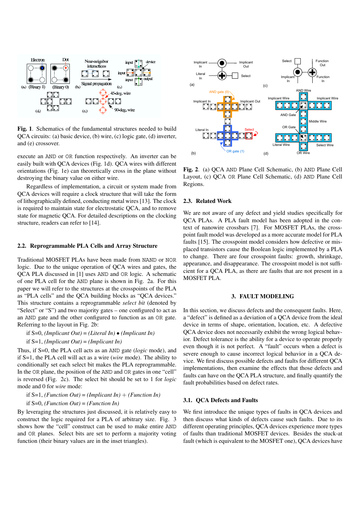

**Fig. 1**. Schematics of the fundamental structures needed to build QCA circuits: (a) basic device, (b) wire, (c) logic gate, (d) inverter, and (e) crossover.

execute an AND or OR function respectively. An inverter can be easily built with QCA devices (Fig. 1d). QCA wires with different orientations (Fig. 1e) can theoretically cross in the plane without destroying the binary value on either wire.

Regardless of implementation, a circuit or system made from QCA devices will require a clock structure that will take the form of lithographically defined, conducting metal wires [13]. The clock is required to maintain state for electrostatic QCA, and to remove state for magnetic QCA. For detailed descriptions on the clocking structure, readers can refer to [14].

#### **2.2. Reprogrammable PLA Cells and Array Structure**

Traditional MOSFET PLAs have been made from NAND or NOR logic. Due to the unique operation of QCA wires and gates, the QCA PLA discussed in [1] uses AND and OR logic. A schematic of one PLA cell for the AND plane is shown in Fig. 2a. For this paper we will refer to the structures at the crosspoints of the PLA as "PLA cells" and the QCA building blocks as "QCA devices." This structure contains a reprogrammable *select bit* (denoted by "Select" or "S") and two majority gates – one configured to act as an AND gate and the other configured to function as an OR gate. Referring to the layout in Fig. 2b:

if S=0, *(Implicant Out)* = *(Literal In)* • *(Implicant In)*

if S=1, *(Implicant Out)* = *(Implicant In)*

Thus, if S=0, the PLA cell acts as an AND gate (*logic* mode), and if S=1, the PLA cell will act as a wire (*wire* mode). The ability to conditionally set each select bit makes the PLA reprogrammable. In the OR plane, the position of the AND and OR gates in one "cell" is reversed (Fig. 2c). The select bit should be set to 1 for *logic* mode and 0 for *wire* mode:

if  $S=1$ , *(Function Out)* = *(Implicant In)* + *(Function In)* 

if S=0, *(Function Out)* = *(Function In)*

By leveraging the structures just discussed, it is relatively easy to construct the logic required for a PLA of arbitrary size. Fig. 3 shows how the "cell" construct can be used to make entire AND and OR planes. Select bits are set to perform a majority voting function (their binary values are in the inset triangles).



**Fig. 2**. (a) QCA AND Plane Cell Schematic, (b) AND Plane Cell Layout, (c) QCA OR Plane Cell Schematic, (d) AND Plane Cell Regions.

## **2.3. Related Work**

We are not aware of any defect and yield studies specifically for QCA PLAs. A PLA fault model has been adopted in the context of nanowire crossbars [7]. For MOSFET PLAs, the crosspoint fault model was developed as a more accurate model for PLA faults [15]. The crosspoint model considers how defective or misplaced transistors cause the Boolean logic implemented by a PLA to change. There are four crosspoint faults: growth, shrinkage, appearance, and disappearance. The crosspoint model is not sufficient for a QCA PLA, as there are faults that are not present in a MOSFET PLA.

#### **3. FAULT MODELING**

In this section, we discuss defects and the consequent faults. Here, a "defect" is defined as a deviation of a QCA device from the ideal device in terms of shape, orientation, location, etc. A defective QCA device does not necessarily exhibit the wrong logical behavior. Defect tolerance is the ability for a device to operate properly even though it is not perfect. A "fault" occurs when a defect is severe enough to cause incorrect logical behavior in a QCA device. We first discuss possible defects and faults for different QCA implementations, then examine the effects that those defects and faults can have on the QCA PLA structure, and finally quantify the fault probabilities based on defect rates.

#### **3.1. QCA Defects and Faults**

We first introduce the unique types of faults in QCA devices and then discuss what kinds of defects cause such faults. Due to its different operating principles, QCA devices experience more types of faults than traditional MOSFET devices. Besides the stuck-at fault (which is equivalent to the MOSFET one), QCA devices have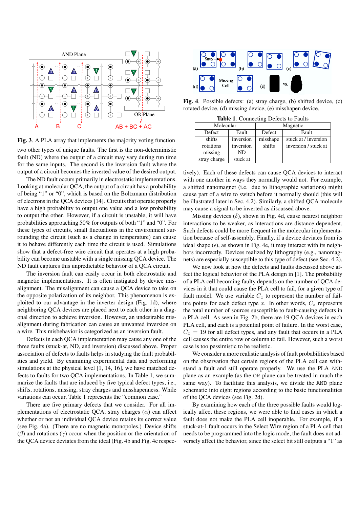

**Fig. 3**. A PLA array that implements the majority voting function two other types of unique faults. The first is the non-deterministic fault (ND) where the output of a circuit may vary during run time for the same inputs. The second is the inversion fault where the output of a circuit becomes the inverted value of the desired output.

The ND fault occurs primarily in electrostatic implementations. Looking at molecular QCA, the output of a circuit has a probability of being "1" or "0", which is based on the Boltzmann distribution of electrons in the QCA devices [14]. Circuits that operate properly have a high probability to output one value and a low probability to output the other. However, if a circuit is unstable, it will have probabilities approaching 50% for outputs of both "1" and "0". For these types of circuits, small fluctuations in the environment surrounding the circuit (such as a change in temperature) can cause it to behave differently each time the circuit is used. Simulations show that a defect-free wire circuit that operates at a high probability can become unstable with a single missing QCA device. The ND fault captures this unpredictable behavior of a QCA circuit.

The inversion fault can easily occur in both electrostatic and magnetic implementations. It is often instigated by device misalignment. The misalignment can cause a QCA device to take on the opposite polarization of its neighbor. This phenomenon is exploited to our advantage in the inverter design (Fig. 1d), where neighboring QCA devices are placed next to each other in a diagonal direction to achieve inversion. However, an undesirable misalignment during fabrication can cause an unwanted inversion on a wire. This misbehavior is categorized as an inversion fault.

Defects in each QCA implementation may cause any one of the three faults (stuck-at, ND, and inversion) discussed above. Proper association of defects to faults helps in studying the fault probabilities and yield. By examining experimental data and performing simulations at the physical level [1, 14, 16], we have matched defects to faults for two QCA implementations. In Table 1, we summarize the faults that are induced by five typical defect types, i.e., shifts, rotations, missing, stray charges and misshapenness. While variations can occur, Table 1 represents the "common case."

There are five primary defects that we consider. For all implementations of electrostatic QCA, stray charges  $(\alpha)$  can affect whether or not an individual QCA device retains its correct value (see Fig. 4a). (There are no magnetic monopoles.) Device shifts  $(\beta)$  and rotations  $(\gamma)$  occur when the position or the orientation of the QCA device deviates from the ideal (Fig. 4b and Fig. 4c respec-



**Fig. 4**. Possible defects: (a) stray charge, (b) shifted device, (c) rotated device, (d) missing device, (e) misshapen device.

**Table 1**. Connecting Defects to Faults

| Molecular    |           | Magnetic |                      |  |  |
|--------------|-----------|----------|----------------------|--|--|
| Defect       | Fault     | Defect   | Fault                |  |  |
| shifts       | inversion | misshape | stuck at / inversion |  |  |
| rotations    | inversion | shifts   | inversion / stuck at |  |  |
| missing      | ND        |          |                      |  |  |
| stray charge | stuck at  |          |                      |  |  |

tively). Each of these defects can cause QCA devices to interact with one another in ways they normally would not. For example, a shifted nanomagnet (i.e. due to lithographic variations) might cause part of a wire to switch before it normally should (this will be illustrated later in Sec. 4.2). Similarly, a shifted QCA molecule may cause a signal to be inverted as discussed above.

Missing devices  $(\delta)$ , shown in Fig. 4d, cause nearest neighbor interactions to be weaker, as interactions are distance dependent. Such defects could be more frequent in the molecular implementation because of self-assembly. Finally, if a device deviates from its ideal shape  $(\epsilon)$ , as shown in Fig. 4e, it may interact with its neighbors incorrectly. Devices realized by lithography (e.g., nanomagnets) are especially susceptible to this type of defect (see Sec. 4.2).

We now look at how the defects and faults discussed above affect the logical behavior of the PLA design in [1]. The probability of a PLA cell becoming faulty depends on the number of QCA devices in it that could cause the PLA cell to fail, for a given type of fault model. We use variable  $C_x$  to represent the number of failure points for each defect type x. In other words,  $C_x$  represents the total number of sources susceptible to fault-causing defects in a PLA cell. As seen in Fig. 2b, there are 19 QCA devices in each PLA cell, and each is a potential point of failure. In the worst case,  $C_x = 19$  for all defect types, and any fault that occurs in a PLA cell causes the entire row or column to fail. However, such a worst case is too pessimistic to be realistic.

We consider a more realistic analysis of fault probabilities based on the observation that certain regions of the PLA cell can withstand a fault and still operate properly. We use the PLA AND plane as an example (as the OR plane can be treated in much the same way). To facilitate this analysis, we divide the AND plane schematic into eight regions according to the basic functionalities of the QCA devices (see Fig. 2d).

By examining how each of the three possible faults would logically affect these regions, we were able to find cases in which a fault does not make the PLA cell inoperable. For example, if a stuck-at-1 fault occurs in the Select Wire region of a PLA cell that needs to be programmed into the logic mode, the fault does not adversely affect the behavior, since the select bit still outputs a "1" as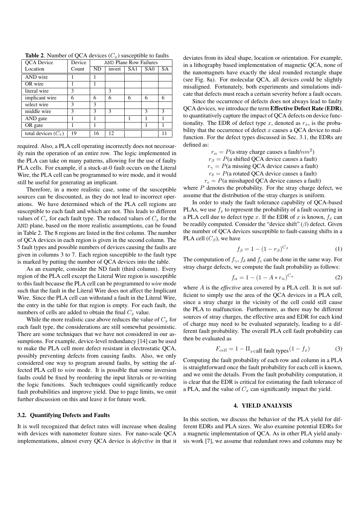| QCA Device            | Device | <b>AND Plane Row Failures</b> |        |                 |                 |           |  |
|-----------------------|--------|-------------------------------|--------|-----------------|-----------------|-----------|--|
| Location              | Count  | ND                            | invert | SA <sub>1</sub> | SA <sub>0</sub> | <b>SA</b> |  |
| AND wire              |        |                               |        |                 |                 |           |  |
| OR wire               |        |                               |        |                 |                 |           |  |
| literal wire          | 3      |                               | 3      |                 |                 |           |  |
| implicant wire        | 6      | 6                             | 6      | 6               | 6               | 6         |  |
| select wire           | 3      | 3                             |        |                 |                 |           |  |
| middle wire           | 3      | 3                             | 3      |                 | 3               | 3         |  |
| AND gate              |        |                               |        | 1               |                 |           |  |
| OR gate               |        |                               |        |                 |                 |           |  |
| total devices $(C_x)$ | 19     | 16                            | 12     |                 |                 |           |  |

**Table 2.** Number of QCA devices  $(C_x)$  susceptible to faults

required. Also, a PLA cell operating incorrectly does not necessarily ruin the operation of an entire row. The logic implemented in the PLA can take on many patterns, allowing for the use of faulty PLA cells. For example, if a stuck-at-0 fault occurs on the Literal Wire, the PLA cell can be programmed to wire mode, and it would still be useful for generating an implicant.

Therefore, in a more realistic case, some of the susceptible sources can be discounted, as they do not lead to incorrect operations. We have determined which of the PLA cell regions are susceptible to each fault and which are not. This leads to different values of  $C_x$  for each fault type. The reduced values of  $C_x$  for the AND plane, based on the more realistic assumptions, can be found in Table 2. The 8 regions are listed in the first column. The number of QCA devices in each region is given in the second column. The 5 fault types and possible numbers of devices causing the faults are given in columns 3 to 7. Each region susceptible to the fault type is marked by putting the number of QCA devices into the table.

As an example, consider the ND fault (third column). Every region of the PLA cell except the Literal Wire region is susceptible to this fault because the PLA cell can be programmed to *wire* mode such that the fault in the Literal Wire does not affect the Implicant Wire. Since the PLA cell can withstand a fault in the Literal Wire, the entry in the table for that region is empty. For each fault, the numbers of cells are added to obtain the final  $C_x$  value.

While the more realistic case above reduces the value of  $C_x$  for each fault type, the considerations are still somewhat pessimistic. There are some techniques that we have not considered in our assumptions. For example, device-level redundancy [14] can be used to make the PLA cell more defect resistant in electrostatic QCA, possibly preventing defects from causing faults. Also, we only considered one way to program around faults, by setting the affected PLA cell to *wire* mode. It is possible that some inversion faults could be fixed by reordering the input literals or re-writing the logic functions. Such techniques could significantly reduce fault probabilities and improve yield. Due to page limits, we omit further discussion on this and leave it for future work.

#### **3.2. Quantifying Defects and Faults**

It is well recognized that defect rates will increase when dealing with devices with nanometer feature sizes. For nano-scale QCA implementations, almost every QCA device is *defective* in that it deviates from its ideal shape, location or orientation. For example, in a lithography based implementation of magnetic QCA, none of the nanomagnets have exactly the ideal rounded rectangle shape (see Fig. 8a). For molecular QCA, all devices could be slightly misaligned. Fortunately, both experiments and simulations indicate that defects must reach a certain severity before a fault occurs.

Since the occurrence of defects does not always lead to faulty QCA devices, we introduce the term **Effective Defect Rate (EDR)**, to quantitatively capture the impact of QCA defects on device functionality. The EDR of defect type x, denoted as  $r<sub>x</sub>$ , is the probability that the occurrence of defect  $x$  causes a QCA device to malfunction. For the defect types discussed in Sec. 3.1, the EDRs are defined as:

 $r_{\alpha} = P(\text{a stray charge causes a fault}/nm^2)$ 

 $r<sub>β</sub> = P(a shifted QCA device causes a fault)$ 

 $r<sub>γ</sub> = P(a missing QCA device causes a fault)$  $r_{\delta} = P(a \text{ rotated QCA device causes a fault})$ 

 $r_{\epsilon} = P(a$  misshaped QCA device causes a fault)

where  $P$  denotes the probability. For the stray charge defect, we assume that the distribution of the stray charges is uniform.

In order to study the fault tolerance capability of QCA-based PLAs, we use  $f_x$  to represent the probability of a fault occurring in a PLA cell due to defect type x. If the EDR of x is known,  $f_x$  can be readily computed. Consider the "device shift"  $(\beta)$  defect. Given the number of QCA devices susceptible to fault-causing shifts in a PLA cell  $(C_\beta)$ , we have

$$
f_{\beta} = 1 - (1 - r_{\beta})^{C_{\beta}} \tag{1}
$$

The computation of  $f_{\gamma}$ ,  $f_{\delta}$  and  $f_{\epsilon}$  can be done in the same way. For stray charge defects, we compute the fault probability as follows:

$$
f_{\alpha} = 1 - (1 - A \ast r_{\alpha})^{C_{\alpha}} \tag{2}
$$

where A is the *effective* area covered by a PLA cell. It is not sufficient to simply use the area of the QCA devices in a PLA cell, since a stray charge in the vicinity of the cell could still cause the PLA to malfunction. Furthermore, as there may be different sources of stray charges, the effective area and EDR for each kind of charge may need to be evaluated separately, leading to a different fault probability. The overall PLA cell fault probability can then be evaluated as

$$
F_{cell} = 1 - \Pi_{x \in all} \text{ fault types}(1 - f_x) \tag{3}
$$

Computing the fault probability of each row and column in a PLA is straightforward once the fault probability for each cell is known, and we omit the details. From the fault probability computation, it is clear that the EDR is critical for estimating the fault tolerance of a PLA, and the value of  $C_x$  can significantly impact the yield.

#### **4. YIELD ANALYSIS**

In this section, we discuss the behavior of the PLA yield for different EDRs and PLA sizes. We also examine potential EDRs for a magnetic implementation of QCA. As in other PLA yield analysis work [7], we assume that redundant rows and columns may be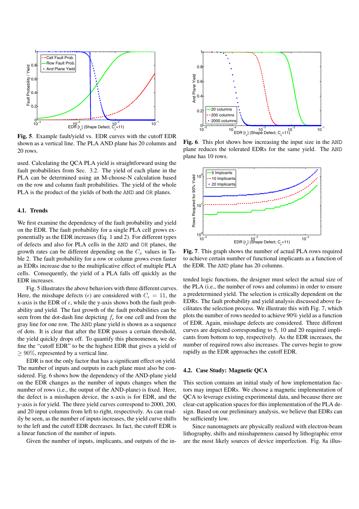

**Fig. 5**. Example fault/yield vs. EDR curves with the cutoff EDR shown as a vertical line. The PLA AND plane has 20 columns and 20 rows.

used. Calculating the QCA PLA yield is straightforward using the fault probabilities from Sec. 3.2. The yield of each plane in the PLA can be determined using an M-choose-N calculation based on the row and column fault probabilities. The yield of the whole PLA is the product of the yields of both the AND and OR planes.

## **4.1. Trends**

We first examine the dependency of the fault probability and yield on the EDR. The fault probability for a single PLA cell grows exponentially as the EDR increases (Eq. 1 and 2). For different types of defects and also for PLA cells in the AND and OR planes, the growth rates can be different depending on the  $C_x$  values in Table 2. The fault probability for a row or column grows even faster as EDRs increase due to the multiplicative effect of multiple PLA cells. Consequently, the yield of a PLA falls off quickly as the EDR increases.

Fig. 5 illustrates the above behaviors with three different curves. Here, the misshape defects ( $\epsilon$ ) are considered with  $C_{\epsilon} = 11$ , the x-axis is the EDR of  $\epsilon$ , while the y-axis shows both the fault probability and yield. The fast growth of the fault probabilities can be seen from the dot-dash line depicting  $f<sub>\epsilon</sub>$  for one cell and from the gray line for one row. The AND plane yield is shown as a sequence of dots. It is clear that after the EDR passes a certain threshold, the yield quickly drops off. To quantify this phenomenon, we define the "cutoff EDR" to be the highest EDR that gives a yield of  $\geq 90\%$ , represented by a vertical line.

EDR is not the only factor that has a significant effect on yield. The number of inputs and outputs in each plane must also be considered. Fig. 6 shows how the dependency of the AND-plane yield on the EDR changes as the number of inputs changes when the number of rows (i.e., the output of the AND-plane) is fixed. Here, the defect is a misshapen device, the x-axis is for EDR, and the y-axis is for yield. The three yield curves correspond to 2000, 200, and 20 input columns from left to right, respectively. As can readily be seen, as the number of inputs increases, the yield curve shifts to the left and the cutoff EDR decreases. In fact, the cutoff EDR is a linear function of the number of inputs.

Given the number of inputs, implicants, and outputs of the in-



**Fig. 6**. This plot shows how increasing the input size in the AND plane reduces the tolerated EDRs for the same yield. The AND plane has 10 rows.



**Fig. 7**. This graph shows the number of actual PLA rows required to achieve certain number of functional implicants as a function of the EDR. The AND plane has 20 columns.

tended logic functions, the designer must select the actual size of the PLA (i.e., the number of rows and columns) in order to ensure a predetermined yield. The selection is critically dependent on the EDRs. The fault probability and yield analysis discussed above facilitates the selection process. We illustrate this with Fig. 7, which plots the number of rows needed to achieve 90% yield as a function of EDR. Again, misshape defects are considered. Three different curves are depicted corresponding to 5, 10 and 20 required implicants from bottom to top, respectively. As the EDR increases, the number of required rows also increases. The curves begin to grow rapidly as the EDR approaches the cutoff EDR.

### **4.2. Case Study: Magnetic QCA**

This section contains an initial study of how implementation factors may impact EDRs. We choose a magnetic implementation of QCA to leverage existing experimental data, and because there are clear-cut application spaces for this implementation of the PLA design. Based on our preliminary analysis, we believe that EDRs can be sufficiently low.

Since nanomagnets are physically realized with electron-beam lithography, shifts and misshapenness caused by lithographic error are the most likely sources of device imperfection. Fig. 8a illus-